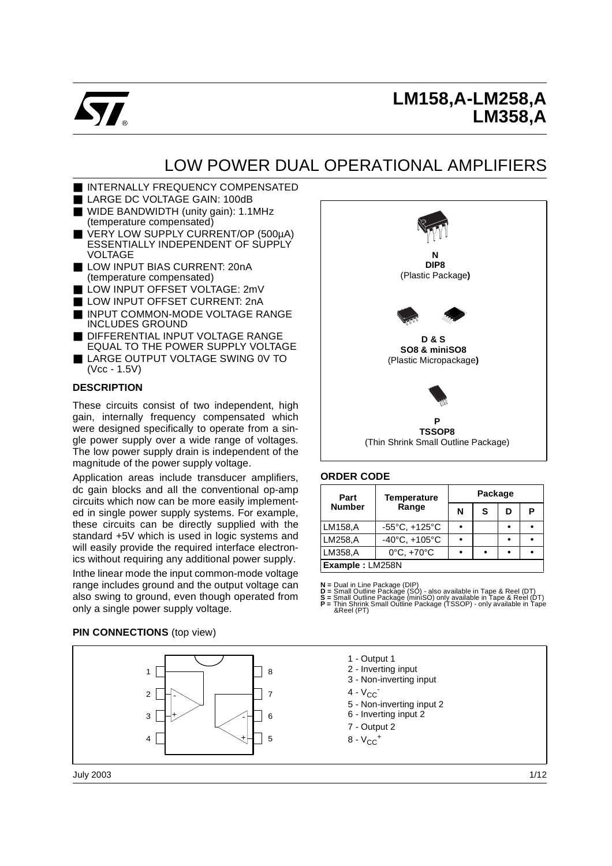

# **LM158,A-LM258,A LM358,A**

j

# LOW POWER DUAL OPERATIONAL AMPLIFIERS

- INTERNALLY FREQUENCY COMPENSATED
- LARGE DC VOLTAGE GAIN: 100dB
- WIDE BANDWIDTH (unity gain): 1.1MHz (temperature compensated)
- VERY LOW SUPPLY CURRENT/OP (500µA) ESSENTIALLY INDEPENDENT OF SUPPLY VOLTAGE
- LOW INPUT BIAS CURRENT: 20nA (temperature compensated)
- LOW INPUT OFFSET VOLTAGE: 2mV
- LOW INPUT OFFSET CURRENT: 2nA
- INPUT COMMON-MODE VOLTAGE RANGE INCLUDES GROUND
- DIFFERENTIAL INPUT VOLTAGE RANGE EQUAL TO THE POWER SUPPLY VOLTAGE
- LARGE OUTPUT VOLTAGE SWING 0V TO (Vcc - 1.5V)

#### **DESCRIPTION**

These circuits consist of two independent, high gain, internally frequency compensated which were designed specifically to operate from a single power supply over a wide range of voltages. The low power supply drain is independent of the magnitude of the power supply voltage.

Application areas include transducer amplifiers, dc gain blocks and all the conventional op-amp circuits which now can be more easily implemented in single power supply systems. For example, these circuits can be directly supplied with the standard +5V which is used in logic systems and will easily provide the required interface electronics without requiring any additional power supply.

Inthe linear mode the input common-mode voltage range includes ground and the output voltage can also swing to ground, even though operated from only a single power supply voltage.

# **N DIP8** (Plastic Package**) D & S SO8 & miniSO8** (Plastic Micropackage**) P TSSOP8** (Thin Shrink Small Outline Package)

#### **ORDER CODE**

| Part            | <b>Temperature</b>                | Package |   |   |   |  |  |
|-----------------|-----------------------------------|---------|---|---|---|--|--|
| <b>Number</b>   | Range                             | N       | S | D | Р |  |  |
| LM158,A         | $-55^{\circ}$ C, $+125^{\circ}$ C |         |   |   |   |  |  |
| LM258,A         | $-40^{\circ}$ C, $+105^{\circ}$ C |         |   |   |   |  |  |
| LM358,A         | $0^{\circ}$ C, $+70^{\circ}$ C    |         |   |   |   |  |  |
| Example: LM258N |                                   |         |   |   |   |  |  |

 $N =$  Dual in Line Package (DIP)<br>  $D =$  Small Outline Package (SO) - also available in Tape & Reel (DT)<br>  $S =$  Small Outline Package (miniSO) only available in Tape & Reel (DT)<br>  $P =$  Thin Shrink Small Outline Package (TSSOP)

#### **PIN CONNECTIONS** (top view)



July 2003

- 1 Output 1
- 2 Inverting input
- 3 Non-inverting input
- $4 V_{CC}$
- 5 Non-inverting input 2
- 6 Inverting input 2
- 7 Output 2
- $8 V_{CC}$ <sup>+</sup>
-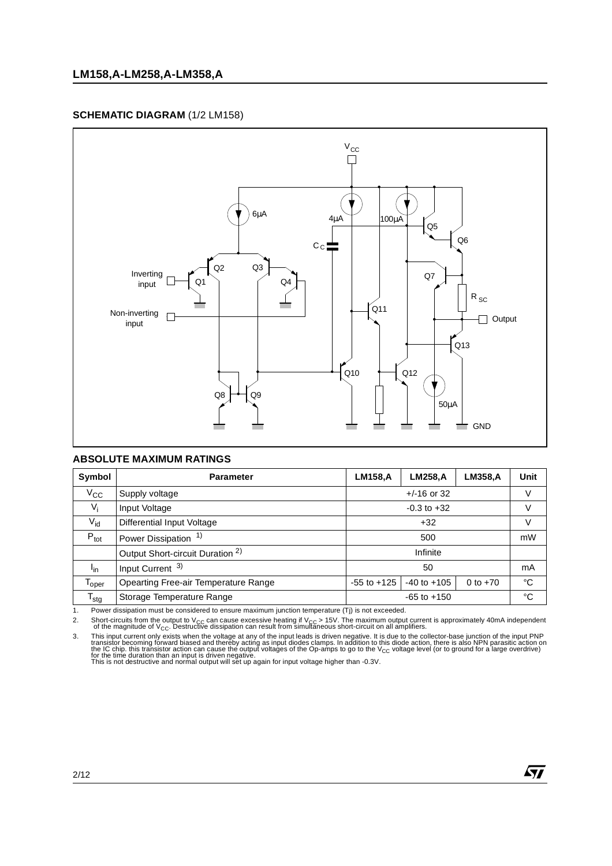#### **SCHEMATIC DIAGRAM** (1/2 LM158)



#### **ABSOLUTE MAXIMUM RATINGS**

| Symbol            | <b>Parameter</b>                            | <b>LM158,A</b>  | <b>LM258, A</b> | <b>LM358,A</b> | Unit   |
|-------------------|---------------------------------------------|-----------------|-----------------|----------------|--------|
| $V_{\rm CC}$      | Supply voltage                              |                 | $+/-16$ or 32   |                | V      |
| $V_i$             | Input Voltage                               |                 | $-0.3$ to $+32$ |                | $\vee$ |
| $V_{\text{id}}$   | Differential Input Voltage                  |                 | V               |                |        |
| $P_{\text{tot}}$  | Power Dissipation <sup>1)</sup>             |                 | mW              |                |        |
|                   | Output Short-circuit Duration <sup>2)</sup> |                 |                 |                |        |
| l <sub>in</sub>   | Input Current <sup>3)</sup>                 |                 | mA              |                |        |
| <sup>l</sup> oper | Opearting Free-air Temperature Range        | $-55$ to $+125$ | $-40$ to $+105$ | 0 to $+70$     | °C     |
| $T_{\text{stg}}$  | Storage Temperature Range                   |                 | °C              |                |        |

1. Power dissipation must be considered to ensure maximum junction temperature (Tj) is not exceeded.

2. Short-circuits from the output to V<sub>CC</sub> can cause excessive heating if V<sub>CC</sub> > 15V. The maximum output current is approximately 40mA independent<br>of the magnitude of V<sub>CC</sub>. Destructive dissipation can result from simulta

3. This input current only exists when the voltage at any of the input leads is driven negative. It is due to the collector-base junction of the input PNP<br>transistor becoming forward biased and thereby acting as input diod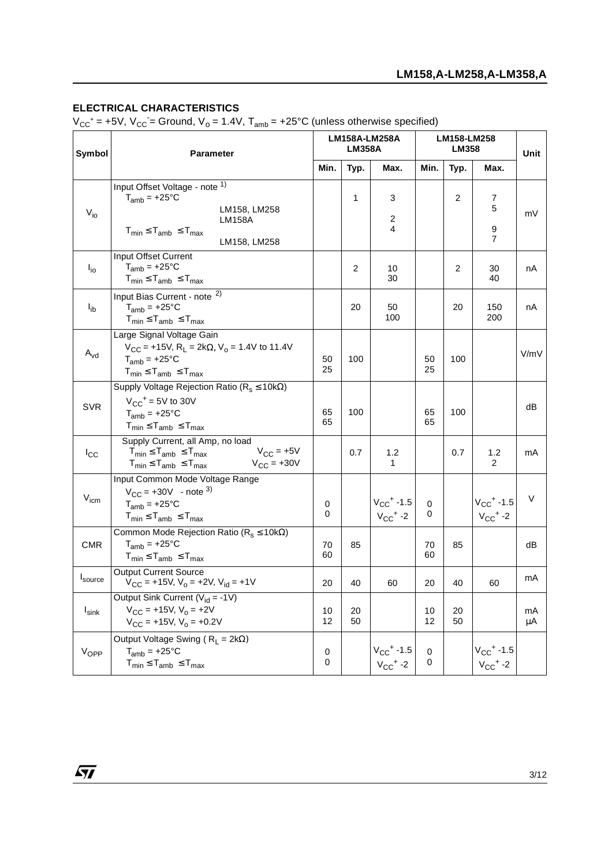#### **ELECTRICAL CHARACTERISTICS**

 $V_{CC}^+$  = +5V,  $V_{CC}$  = Ground,  $V_0$  = 1.4V,  $T_{amb}$  = +25°C (unless otherwise specified)

| Symbol              | <b>Parameter</b>                                                                                                                                                        |            | <b>LM158A-LM258A</b><br><b>LM358A</b> |                                                        |                | LM158-LM258<br><b>LM358</b> |                                                        |          |
|---------------------|-------------------------------------------------------------------------------------------------------------------------------------------------------------------------|------------|---------------------------------------|--------------------------------------------------------|----------------|-----------------------------|--------------------------------------------------------|----------|
|                     |                                                                                                                                                                         | Min.       | Typ.                                  | Max.                                                   | Min.           | Typ.                        | Max.                                                   |          |
| $V_{i0}$            | Input Offset Voltage - note 1)<br>$T_{amb} = +25$ °C<br>LM158, LM258<br><b>LM158A</b><br>$T_{min} \leq T_{amb} \leq T_{max}$<br>LM158, LM258                            |            | $\mathbf{1}$                          | 3<br>2<br>4                                            |                | $\overline{2}$              | 7<br>5<br>9<br>$\overline{7}$                          | mV       |
| $I_{io}$            | <b>Input Offset Current</b><br>$T_{amb}$ = +25°C<br>$T_{min} \leq T_{amb} \leq T_{max}$                                                                                 |            | $\overline{2}$                        | 10<br>30                                               |                | $\overline{2}$              | 30<br>40                                               | nA       |
| $I_{ib}$            | Input Bias Current - note <sup>2)</sup><br>$T_{amb}$ = +25°C<br>$T_{min} \leq T_{amb} \leq T_{max}$                                                                     |            | 20                                    | 50<br>100                                              |                | 20                          | 150<br>200                                             | nA       |
| $A_{vd}$            | Large Signal Voltage Gain<br>$V_{CC}$ = +15V, R <sub>L</sub> = 2k $\Omega$ , V <sub>o</sub> = 1.4V to 11.4V<br>$T_{amb}$ = +25°C<br>$T_{min} \leq T_{amb} \leq T_{max}$ | 50<br>25   | 100                                   |                                                        | 50<br>25       | 100                         |                                                        | V/mV     |
| <b>SVR</b>          | Supply Voltage Rejection Ratio ( $R_s \le 10k\Omega$ )<br>$V_{CC}$ <sup>+</sup> = 5V to 30V<br>$T_{amb}$ = +25°C<br>$T_{min} \leq T_{amb} \leq T_{max}$                 | 65<br>65   | 100                                   |                                                        | 65<br>65       | 100                         |                                                        | dB       |
| $I_{\rm CC}$        | Supply Current, all Amp, no load<br>$V_{CC}$ = +5V<br>$T_{min} \leq T_{amb} \leq T_{max}$<br>$V_{\rm CC} = +30V$<br>$T_{min} \leq T_{amb} \leq T_{max}$                 |            | 0.7                                   | 1.2<br>1                                               |                | 0.7                         | 1.2<br>$\overline{2}$                                  | mA       |
| $V_{icm}$           | Input Common Mode Voltage Range<br>$V_{\text{CC}} = +30V$ - note <sup>3)</sup><br>$T_{amb}$ = +25°C<br>$T_{min} \leq T_{amb} \leq T_{max}$                              | 0<br>0     |                                       | $V_{CC}$ <sup>+</sup> -1.5<br>$V_{CC}$ <sup>+</sup> -2 | 0<br>0         |                             | $V_{CC}$ <sup>+</sup> -1.5<br>$V_{CC}$ <sup>+</sup> -2 | V        |
| <b>CMR</b>          | Common Mode Rejection Ratio ( $R_s \le 10k\Omega$ )<br>$T_{amb}$ = +25°C<br>$T_{min} \leq T_{amb} \leq T_{max}$                                                         | 70<br>60   | 85                                    |                                                        | 70<br>60       | 85                          |                                                        | dB       |
| <sup>I</sup> source | <b>Output Current Source</b><br>$V_{CC}$ = +15V, $V_0$ = +2V, $V_{id}$ = +1V                                                                                            | 20         | 40                                    | 60                                                     | 20             | 40                          | 60                                                     | mA       |
| $I_{\textsf{sink}}$ | Output Sink Current ( $V_{id} = -1V$ )<br>$V_{CC}$ = +15V, $V_0$ = +2V<br>$V_{CC}$ = +15V, $V_0$ = +0.2V                                                                | $10$<br>12 | 20<br>50                              |                                                        | $10$<br>12     | 20<br>50                    |                                                        | mA<br>μA |
| VOPP                | Output Voltage Swing ( $R_L = 2k\Omega$ )<br>$T_{amb} = +25^{\circ}C$<br>$T_{min} \leq T_{amb} \leq T_{max}$                                                            | 0<br>0     |                                       | $V_{CC}$ <sup>+</sup> -1.5<br>$V_{CC}$ <sup>+</sup> -2 | $\pmb{0}$<br>0 |                             | $V_{CC}$ <sup>+</sup> -1.5<br>$V_{CC}$ <sup>+</sup> -2 |          |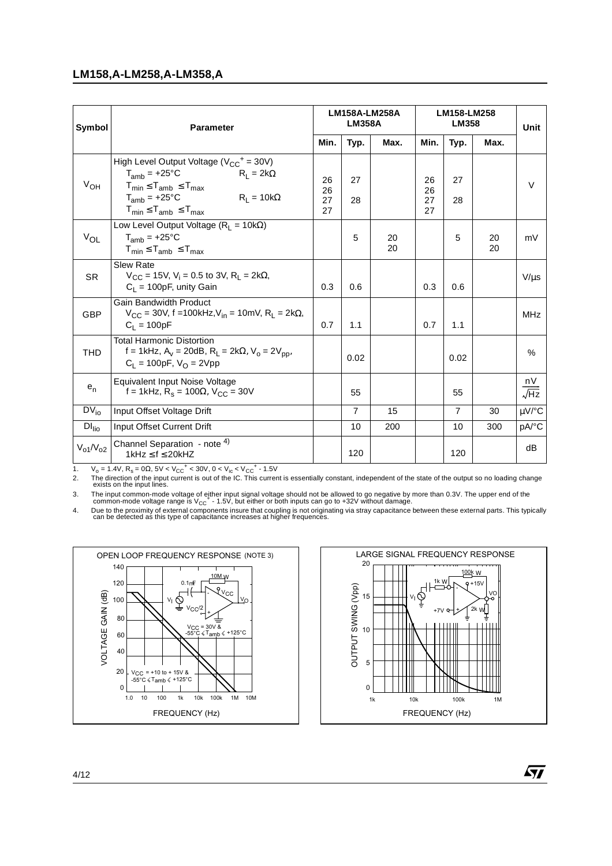#### **LM158,A-LM258,A-LM358,A**

| Symbol            | <b>Parameter</b>                                                                                                                                                                                               |                      | <b>LM158A-LM258A</b><br><b>LM358A</b> |          |                      | LM158-LM258<br><b>LM358</b> |          |                   |  |
|-------------------|----------------------------------------------------------------------------------------------------------------------------------------------------------------------------------------------------------------|----------------------|---------------------------------------|----------|----------------------|-----------------------------|----------|-------------------|--|
|                   |                                                                                                                                                                                                                | Min.                 | Typ.                                  | Max.     | Min.                 | Typ.                        | Max.     |                   |  |
| $V_{OH}$          | High Level Output Voltage ( $V_{CC}^+$ = 30V)<br>$T_{amb}$ = +25°C<br>$R_1 = 2k\Omega$<br>$T_{min} \leq T_{amb} \leq T_{max}$<br>$R_L = 10k\Omega$<br>$T_{amb}$ = +25°C<br>$T_{min} \leq T_{amb} \leq T_{max}$ | 26<br>26<br>27<br>27 | 27<br>28                              |          | 26<br>26<br>27<br>27 | 27<br>28                    |          | $\vee$            |  |
| $V_{OL}$          | Low Level Output Voltage ( $R_1 = 10k\Omega$ )<br>$T_{amb}$ = +25°C<br>$T_{min} \leq T_{amb} \leq T_{max}$                                                                                                     |                      | 5                                     | 20<br>20 |                      | 5                           | 20<br>20 | mV                |  |
| <b>SR</b>         | <b>Slew Rate</b><br>$V_{CC}$ = 15V, V <sub>i</sub> = 0.5 to 3V, R <sub>I</sub> = 2k $\Omega$ ,<br>$C_1 = 100pF$ , unity Gain                                                                                   | 0.3                  | 0.6                                   |          | 0.3                  | 0.6                         |          | $V/\mu s$         |  |
| <b>GBP</b>        | <b>Gain Bandwidth Product</b><br>$V_{CC}$ = 30V, f = 100kHz, V <sub>in</sub> = 10mV, R <sub>L</sub> = 2k $\Omega$ ,<br>$C_1 = 100pF$                                                                           | 0.7                  | 1.1                                   |          | 0.7                  | 1.1                         |          | MHz               |  |
| <b>THD</b>        | <b>Total Harmonic Distortion</b><br>f = 1kHz, A <sub>v</sub> = 20dB, R <sub>1</sub> = 2k $\Omega$ , V <sub>0</sub> = 2V <sub>pp</sub> ,<br>$C_1 = 100pF$ , $V_0 = 2Vpp$                                        |                      | 0.02                                  |          |                      | 0.02                        |          | $\%$              |  |
| $e_n$             | Equivalent Input Noise Voltage<br>f = 1kHz, R <sub>s</sub> = 100Ω, V <sub>CC</sub> = 30V                                                                                                                       |                      | 55                                    |          |                      | 55                          |          | nV<br>$\sqrt{Hz}$ |  |
| $DV_{io}$         | Input Offset Voltage Drift                                                                                                                                                                                     |                      | $\overline{7}$                        | 15       |                      | 7                           | 30       | µV/°C             |  |
| DI <sub>Iio</sub> | Input Offset Current Drift                                                                                                                                                                                     |                      | 10                                    | 200      |                      | 10                          | 300      | pA/°C             |  |
| $V_{o1}/V_{o2}$   | Channel Separation - note 4)<br>1kHz $\leq$ f $\leq$ 20kHZ                                                                                                                                                     |                      | 120                                   |          |                      | 120                         |          | dB                |  |

1.  $V_0 = 1.4V$ ,  $R_s = 0\Omega$ ,  $5V < V_{CC}^+ < 30V$ ,  $0 < V_{ic} < V_{CC}^+$  - 1.5V<br>2. The direction of the input current is out of the IC. This current

The direction of the input current is out of the IC. This current is essentially constant, independent of the state of the output so no loading change exists on the input lines.

3. The input common-mode voltage of either input signal voltage should not be allowed to go negative by more than 0.3V. The upper end of the common-mode voltage range is V<sub>CC</sub><sup>+</sup> - 1.5V, but either or both inputs can go t

24. Due to the proximity of external components insure that coupling is not originating via stray capacitance between these external parts. This typically<br>can be detected as this type of capacitance increases at higher fre





57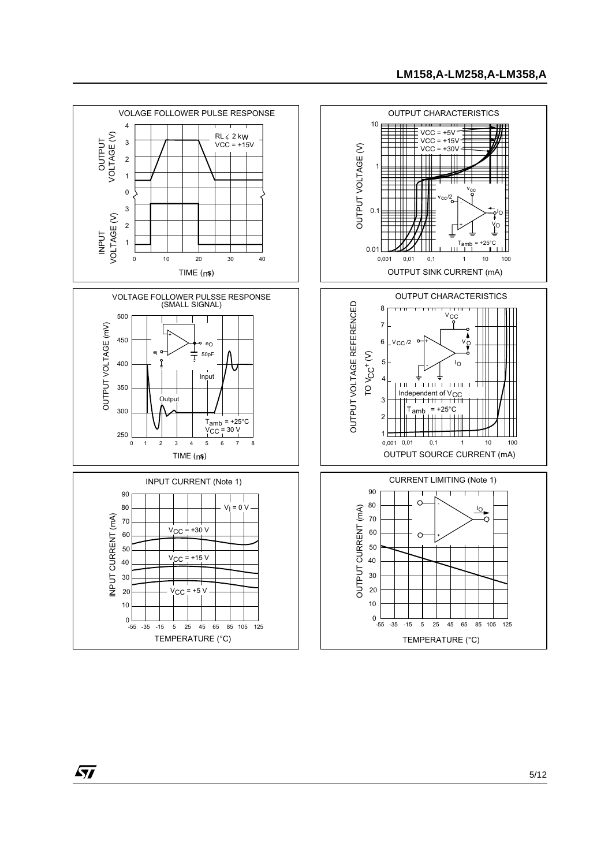

 $\sqrt{27}$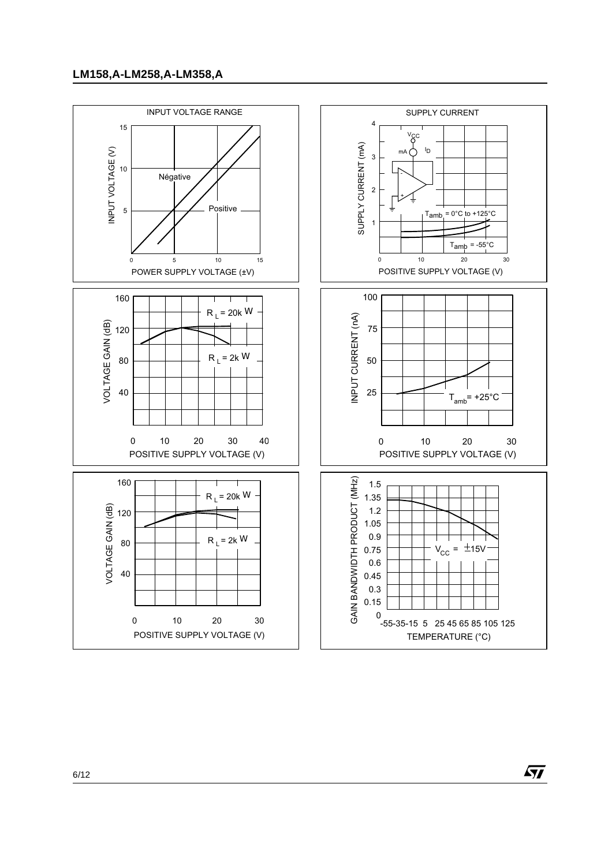

 $\sqrt{27}$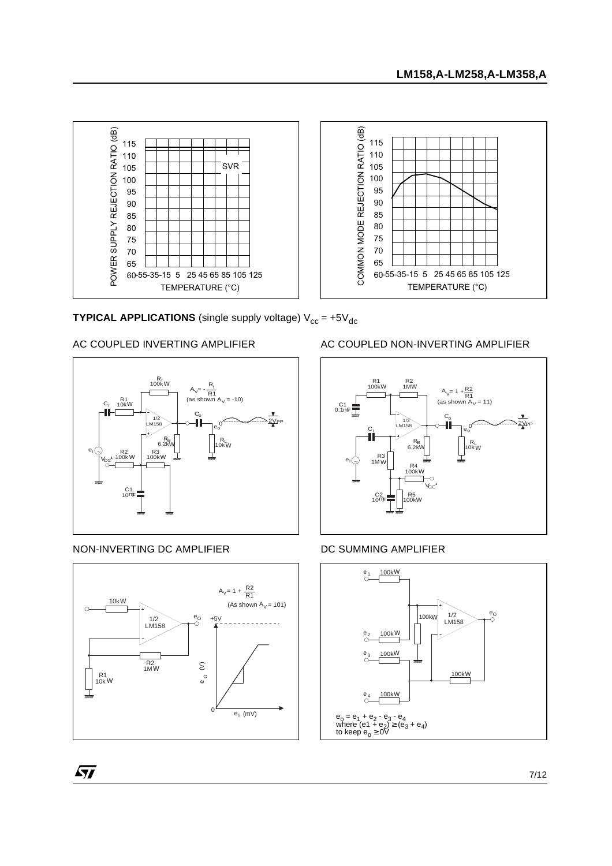

**TYPICAL APPLICATIONS** (single supply voltage)  $V_{cc} = +5V_{dc}$ 

# AC COUPLED INVERTING AMPLIFIER



# NON-INVERTING DC AMPLIFIER

 $\sqrt{27}$ 



# AC COUPLED NON-INVERTING AMPLIFIER



#### DC SUMMING AMPLIFIER

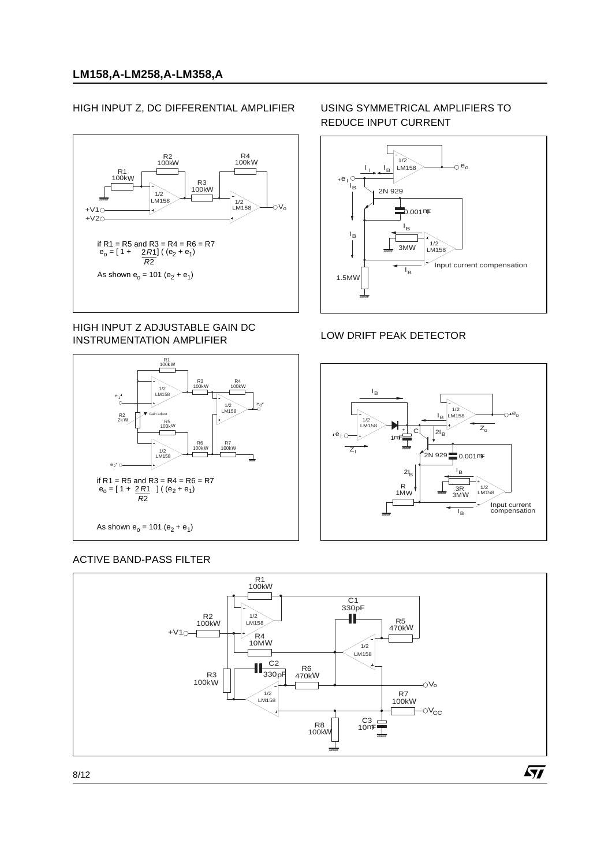# HIGH INPUT Z, DC DIFFERENTIAL AMPLIFIER



#### HIGH INPUT Z ADJUSTABLE GAIN DC INSTRUMENTATION AMPLIFIER



# ACTIVE BAND-PASS FILTER

#### USING SYMMETRICAL AMPLIFIERS TO REDUCE INPUT CURRENT



#### LOW DRIFT PEAK DETECTOR



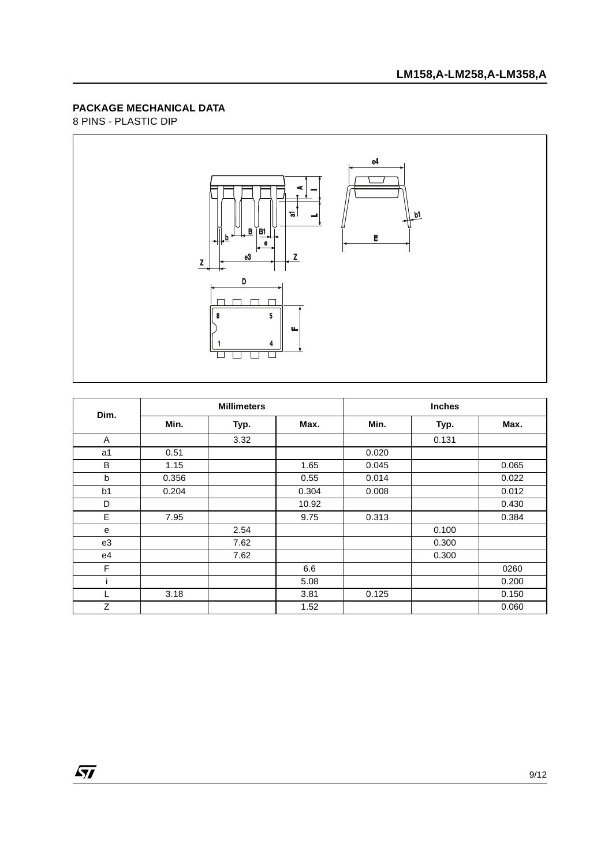# 8 PINS - PLASTIC DIP

 $\sqrt{M}$ 



| Dim.           | <b>Millimeters</b> |      |       | <b>Inches</b> |       |       |  |
|----------------|--------------------|------|-------|---------------|-------|-------|--|
|                | Min.               | Typ. | Max.  | Min.          | Typ.  | Max.  |  |
| A              |                    | 3.32 |       |               | 0.131 |       |  |
| a1             | 0.51               |      |       | 0.020         |       |       |  |
| B              | 1.15               |      | 1.65  | 0.045         |       | 0.065 |  |
| b              | 0.356              |      | 0.55  | 0.014         |       | 0.022 |  |
| b <sub>1</sub> | 0.204              |      | 0.304 | 0.008         |       | 0.012 |  |
| D              |                    |      | 10.92 |               |       | 0.430 |  |
| E              | 7.95               |      | 9.75  | 0.313         |       | 0.384 |  |
| e              |                    | 2.54 |       |               | 0.100 |       |  |
| e3             |                    | 7.62 |       |               | 0.300 |       |  |
| e4             |                    | 7.62 |       |               | 0.300 |       |  |
| F              |                    |      | 6.6   |               |       | 0260  |  |
|                |                    |      | 5.08  |               |       | 0.200 |  |
|                | 3.18               |      | 3.81  | 0.125         |       | 0.150 |  |
| Z              |                    |      | 1.52  |               |       | 0.060 |  |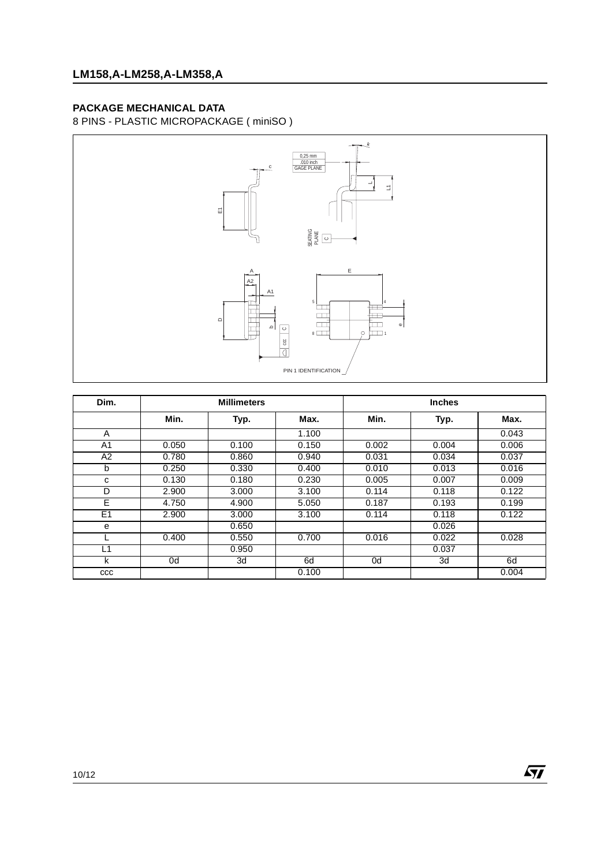8 PINS - PLASTIC MICROPACKAGE ( miniSO )



| Dim.           | <b>Millimeters</b> |       |       |       | <b>Inches</b> |       |  |
|----------------|--------------------|-------|-------|-------|---------------|-------|--|
|                | Min.               | Typ.  | Max.  | Min.  | Typ.          | Max.  |  |
| A              |                    |       | 1.100 |       |               | 0.043 |  |
| A1             | 0.050              | 0.100 | 0.150 | 0.002 | 0.004         | 0.006 |  |
| A <sub>2</sub> | 0.780              | 0.860 | 0.940 | 0.031 | 0.034         | 0.037 |  |
| b              | 0.250              | 0.330 | 0.400 | 0.010 | 0.013         | 0.016 |  |
| с              | 0.130              | 0.180 | 0.230 | 0.005 | 0.007         | 0.009 |  |
| D              | 2.900              | 3.000 | 3.100 | 0.114 | 0.118         | 0.122 |  |
| Ē              | 4.750              | 4.900 | 5.050 | 0.187 | 0.193         | 0.199 |  |
| E <sub>1</sub> | 2.900              | 3.000 | 3.100 | 0.114 | 0.118         | 0.122 |  |
| e              |                    | 0.650 |       |       | 0.026         |       |  |
|                | 0.400              | 0.550 | 0.700 | 0.016 | 0.022         | 0.028 |  |
| L1             |                    | 0.950 |       |       | 0.037         |       |  |
| k              | 0d                 | 3d    | 6d    | 0d    | 3d            | 6d    |  |
| ccc            |                    |       | 0.100 |       |               | 0.004 |  |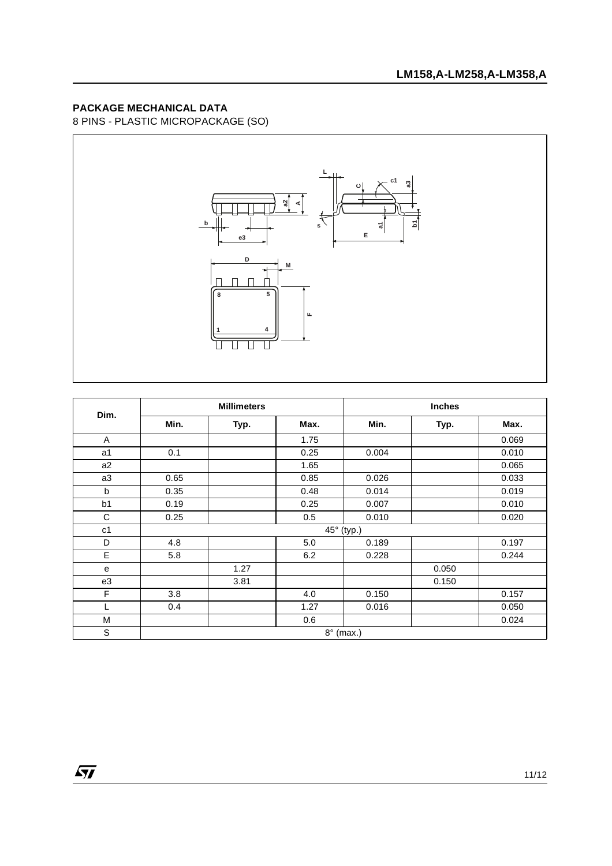8 PINS - PLASTIC MICROPACKAGE (SO)



| Dim.           | <b>Millimeters</b> |      |                  | <b>Inches</b> |       |       |  |
|----------------|--------------------|------|------------------|---------------|-------|-------|--|
|                | Min.               | Typ. | Max.             | Min.          | Typ.  | Max.  |  |
| Α              |                    |      | 1.75             |               |       | 0.069 |  |
| a1             | 0.1                |      | 0.25             | 0.004         |       | 0.010 |  |
| a2             |                    |      | 1.65             |               |       | 0.065 |  |
| a3             | 0.65               |      | 0.85             | 0.026         |       | 0.033 |  |
| b              | 0.35               |      | 0.48             | 0.014         |       | 0.019 |  |
| b1             | 0.19               |      | 0.25             | 0.007         |       | 0.010 |  |
| C              | 0.25               |      | 0.5              | 0.010         |       | 0.020 |  |
| c <sub>1</sub> |                    |      |                  | 45° (typ.)    |       |       |  |
| D              | 4.8                |      | 5.0              | 0.189         |       | 0.197 |  |
| E              | 5.8                |      | 6.2              | 0.228         |       | 0.244 |  |
| e              |                    | 1.27 |                  |               | 0.050 |       |  |
| e3             |                    | 3.81 |                  |               | 0.150 |       |  |
| F              | 3.8                |      | 4.0              | 0.150         |       | 0.157 |  |
| L              | 0.4                |      | 1.27             | 0.016         |       | 0.050 |  |
| M              |                    |      | 0.6              |               |       | 0.024 |  |
| S              |                    |      | $8^\circ$ (max.) |               |       |       |  |